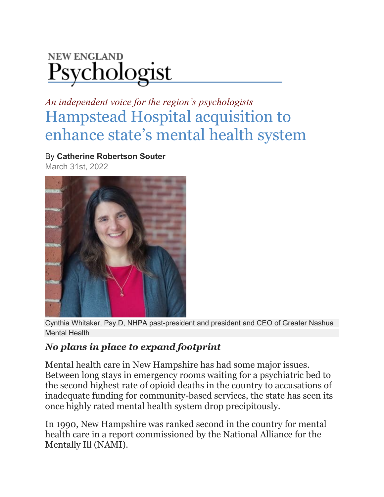## **NEW ENGLAND** Psychologist

*An independent voice for the region's psychologists* [Hampstead Hospital acquisition to](https://www.nepsy.com/articles/leading-stories/hampstead-hospital-acquisition-to-enhance-states-mental-health-system/)  [enhance state's mental health system](https://www.nepsy.com/articles/leading-stories/hampstead-hospital-acquisition-to-enhance-states-mental-health-system/)

By **Catherine Robertson Souter**

March 31st, 2022



Cynthia Whitaker, Psy.D, NHPA past-president and president and CEO of Greater Nashua Mental Health

## *No plans in place to expand footprint*

Mental health care in New Hampshire has had some major issues. Between long stays in emergency rooms waiting for a psychiatric bed to the second highest rate of opioid deaths in the country to accusations of inadequate funding for community-based services, the state has seen its once highly rated mental health system drop precipitously.

In 1990, New Hampshire was ranked second in the country for mental health care in a report commissioned by the National Alliance for the Mentally Ill (NAMI).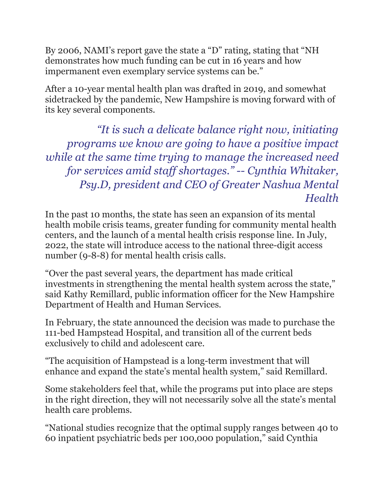By 2006, NAMI's report gave the state a "D" rating, stating that "NH demonstrates how much funding can be cut in 16 years and how impermanent even exemplary service systems can be."

After a 10-year mental health plan was drafted in 2019, and somewhat sidetracked by the pandemic, New Hampshire is moving forward with of its key several components.

*"It is such a delicate balance right now, initiating programs we know are going to have a positive impact while at the same time trying to manage the increased need for services amid staff shortages." -- Cynthia Whitaker, Psy.D, president and CEO of Greater Nashua Mental Health*

In the past 10 months, the state has seen an expansion of its mental health mobile crisis teams, greater funding for community mental health centers, and the launch of a mental health crisis response line. In July, 2022, the state will introduce access to the national three-digit access number (9-8-8) for mental health crisis calls.

"Over the past several years, the department has made critical investments in strengthening the mental health system across the state," said Kathy Remillard, public information officer for the New Hampshire Department of Health and Human Services.

In February, the state announced the decision was made to purchase the 111-bed Hampstead Hospital, and transition all of the current beds exclusively to child and adolescent care.

"The acquisition of Hampstead is a long-term investment that will enhance and expand the state's mental health system," said Remillard.

Some stakeholders feel that, while the programs put into place are steps in the right direction, they will not necessarily solve all the state's mental health care problems.

"National studies recognize that the optimal supply ranges between 40 to 60 inpatient psychiatric beds per 100,000 population," said Cynthia